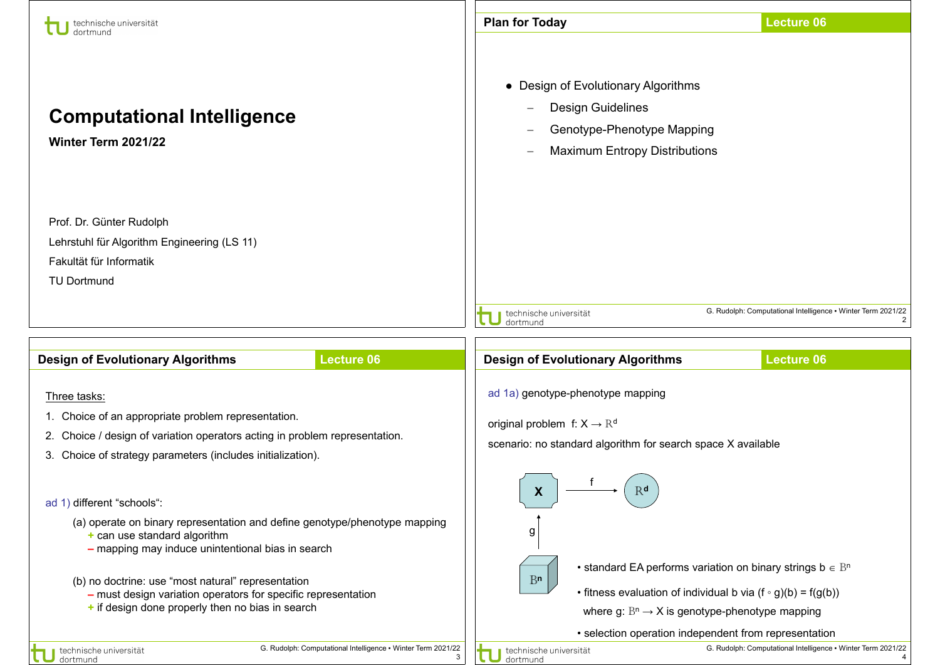| technische universität<br>dortmund                                                                                                                                                                                | <b>Lecture 06</b><br><b>Plan for Today</b>                                                                                                            |  |  |  |  |  |  |
|-------------------------------------------------------------------------------------------------------------------------------------------------------------------------------------------------------------------|-------------------------------------------------------------------------------------------------------------------------------------------------------|--|--|--|--|--|--|
| <b>Computational Intelligence</b><br>Winter Term 2021/22                                                                                                                                                          | • Design of Evolutionary Algorithms<br>Design Guidelines<br>Genotype-Phenotype Mapping<br><b>Maximum Entropy Distributions</b>                        |  |  |  |  |  |  |
| Prof. Dr. Günter Rudolph<br>Lehrstuhl für Algorithm Engineering (LS 11)<br>Fakultät für Informatik<br><b>TU Dortmund</b>                                                                                          |                                                                                                                                                       |  |  |  |  |  |  |
|                                                                                                                                                                                                                   | G. Rudolph: Computational Intelligence • Winter Term 2021/22<br>technische universität<br>dortmund                                                    |  |  |  |  |  |  |
|                                                                                                                                                                                                                   |                                                                                                                                                       |  |  |  |  |  |  |
| <b>Design of Evolutionary Algorithms</b><br><b>Lecture 06</b>                                                                                                                                                     | <b>Design of Evolutionary Algorithms</b><br><b>Lecture 06</b>                                                                                         |  |  |  |  |  |  |
| Three tasks:<br>1. Choice of an appropriate problem representation.<br>2. Choice / design of variation operators acting in problem representation.<br>3. Choice of strategy parameters (includes initialization). | ad 1a) genotype-phenotype mapping<br>original problem f: $X \rightarrow \mathbb{R}^d$<br>scenario: no standard algorithm for search space X available |  |  |  |  |  |  |
| ad 1) different "schools":<br>(a) operate on binary representation and define genotype/phenotype mapping                                                                                                          | R <sub>d</sub><br>Х                                                                                                                                   |  |  |  |  |  |  |
| + can use standard algorithm<br>- mapping may induce unintentional bias in search                                                                                                                                 | g<br>• standard EA performs variation on binary strings $b \in B^n$                                                                                   |  |  |  |  |  |  |
| (b) no doctrine: use "most natural" representation<br>- must design variation operators for specific representation<br>+ if design done properly then no bias in search                                           | B <sub>n</sub><br>• fitness evaluation of individual b via $(f \circ g)(b) = f(g(b))$<br>where g: $B^n \rightarrow X$ is genotype-phenotype mapping   |  |  |  |  |  |  |
|                                                                                                                                                                                                                   | • selection operation independent from representation                                                                                                 |  |  |  |  |  |  |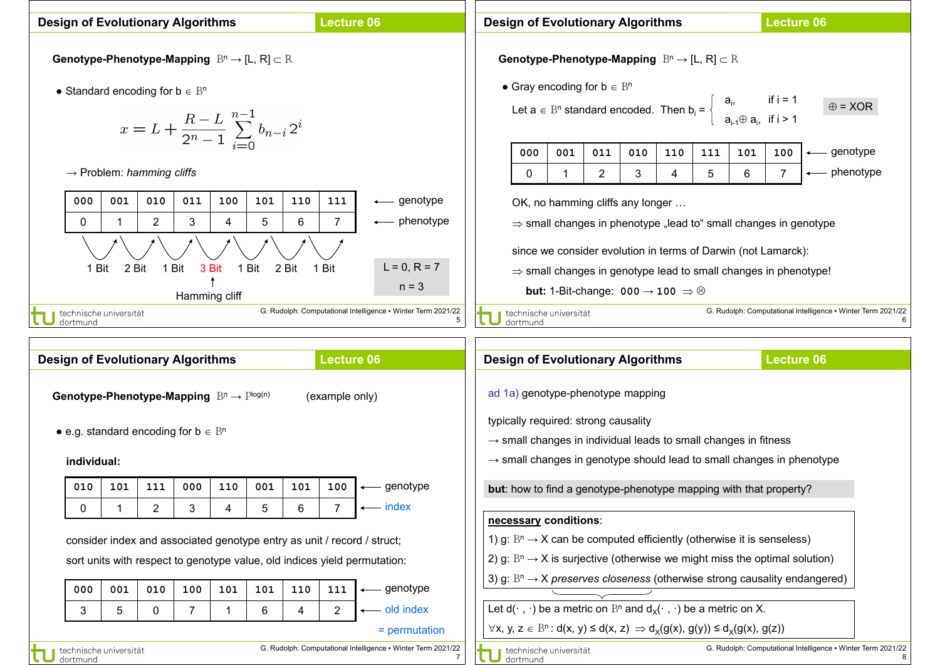| <b>Lecture 06</b><br><b>Design of Evolutionary Algorithms</b>                                                                                                                                                                                                                                                                                                                                                                                                                                                                                                                                                                                                                                                                                                                                                                      |                                                                                                                                     |     |     |                                                                                                                                                                                                                                               | <b>Design of Evolutionary Algorithms</b>                                                                                                                                                                                                                                                                                                                                                                                                                                                                                                                                                                                                                                                                                                                                                                                                                |                                          |                                                              |  |                                    |  | <b>Lecture 06</b> |                   |  |  |                                                                   |                                                              |  |
|------------------------------------------------------------------------------------------------------------------------------------------------------------------------------------------------------------------------------------------------------------------------------------------------------------------------------------------------------------------------------------------------------------------------------------------------------------------------------------------------------------------------------------------------------------------------------------------------------------------------------------------------------------------------------------------------------------------------------------------------------------------------------------------------------------------------------------|-------------------------------------------------------------------------------------------------------------------------------------|-----|-----|-----------------------------------------------------------------------------------------------------------------------------------------------------------------------------------------------------------------------------------------------|---------------------------------------------------------------------------------------------------------------------------------------------------------------------------------------------------------------------------------------------------------------------------------------------------------------------------------------------------------------------------------------------------------------------------------------------------------------------------------------------------------------------------------------------------------------------------------------------------------------------------------------------------------------------------------------------------------------------------------------------------------------------------------------------------------------------------------------------------------|------------------------------------------|--------------------------------------------------------------|--|------------------------------------|--|-------------------|-------------------|--|--|-------------------------------------------------------------------|--------------------------------------------------------------|--|
| <b>Genotype-Phenotype-Mapping</b> $B^n \to [L, R] \subset R$<br>• Standard encoding for $b \in B^n$<br>$x = L + \frac{R-L}{2^n-1} \sum_{i=0}^{n-1} b_{n-i} 2^i$<br>$\rightarrow$ Problem: hamming cliffs<br>001<br>010<br>011<br>101<br>110<br>111<br>000<br>100<br>$\longleftarrow$ genotype<br>$\overline{2}$<br>5<br>$\overline{7}$<br>3<br>6<br>$\longleftarrow$ phenotype<br>0<br>4<br>$L = 0, R = 7$<br>2 Bit<br>1 Bit<br>3 Bit<br>1 Bit<br>1 Bit<br>2 Bit<br>1 Bit<br>$n = 3$<br>Hamming cliff<br>G. Rudolph: Computational Intelligence • Winter Term 2021/22<br>technische universität<br>5<br>dortmund                                                                                                                                                                                                                   |                                                                                                                                     |     |     |                                                                                                                                                                                                                                               | Genotype-Phenotype-Mapping $B^n \to [L, R] \subset R$<br>• Gray encoding for $b \in B^n$<br>Let $a \in B^n$ standard encoded. Then $b_i = \begin{cases} a_i, & \text{if } i = 1 \\ a_{i+1} \oplus a_i, & \text{if } i > 1 \end{cases}$<br>$\oplus$ = XOR<br>- genotype<br>010<br>000<br>001<br>011<br>110<br>111<br>101<br>100<br>– phenotype<br>$\overline{2}$<br>3<br>5<br>6<br>$\mathbf{0}$<br>4<br>OK, no hamming cliffs any longer<br>$\Rightarrow$ small changes in phenotype "lead to" small changes in genotype<br>since we consider evolution in terms of Darwin (not Lamarck):<br>$\Rightarrow$ small changes in genotype lead to small changes in phenotype!<br><b>but:</b> 1-Bit-change: $000 \rightarrow 100 \Rightarrow \odot$<br>G. Rudolph: Computational Intelligence • Winter Term 2021/22<br>technische universität<br>6<br>dortmund |                                          |                                                              |  |                                    |  |                   |                   |  |  |                                                                   |                                                              |  |
|                                                                                                                                                                                                                                                                                                                                                                                                                                                                                                                                                                                                                                                                                                                                                                                                                                    | <b>Design of Evolutionary Algorithms</b><br><b>Lecture 06</b>                                                                       |     |     |                                                                                                                                                                                                                                               |                                                                                                                                                                                                                                                                                                                                                                                                                                                                                                                                                                                                                                                                                                                                                                                                                                                         | <b>Design of Evolutionary Algorithms</b> |                                                              |  |                                    |  |                   | <b>Lecture 06</b> |  |  |                                                                   |                                                              |  |
|                                                                                                                                                                                                                                                                                                                                                                                                                                                                                                                                                                                                                                                                                                                                                                                                                                    | Genotype-Phenotype-Mapping $B^n \to P^{\text{log}(n)}$<br>(example only)<br>• e.g. standard encoding for $b \in B^n$<br>individual: |     |     | ad 1a) genotype-phenotype mapping<br>typically required: strong causality<br>$\rightarrow$ small changes in individual leads to small changes in fitness<br>$\rightarrow$ small changes in genotype should lead to small changes in phenotype |                                                                                                                                                                                                                                                                                                                                                                                                                                                                                                                                                                                                                                                                                                                                                                                                                                                         |                                          |                                                              |  |                                    |  |                   |                   |  |  |                                                                   |                                                              |  |
| 010                                                                                                                                                                                                                                                                                                                                                                                                                                                                                                                                                                                                                                                                                                                                                                                                                                | 101<br>111                                                                                                                          | 000 | 110 | 001                                                                                                                                                                                                                                           | 101                                                                                                                                                                                                                                                                                                                                                                                                                                                                                                                                                                                                                                                                                                                                                                                                                                                     | 100                                      | $\longleftarrow$ genotype                                    |  |                                    |  |                   |                   |  |  | but: how to find a genotype-phenotype mapping with that property? |                                                              |  |
| 0                                                                                                                                                                                                                                                                                                                                                                                                                                                                                                                                                                                                                                                                                                                                                                                                                                  | $\overline{2}$                                                                                                                      | 3   | 4   | 5                                                                                                                                                                                                                                             | 6                                                                                                                                                                                                                                                                                                                                                                                                                                                                                                                                                                                                                                                                                                                                                                                                                                                       |                                          | — index                                                      |  |                                    |  |                   |                   |  |  |                                                                   |                                                              |  |
| necessary conditions:<br>1) g: $B^n \rightarrow X$ can be computed efficiently (otherwise it is senseless)<br>consider index and associated genotype entry as unit / record / struct;<br>2) g: $Bn \rightarrow X$ is surjective (otherwise we might miss the optimal solution)<br>sort units with respect to genotype value, old indices yield permutation:<br>3) g: $B^n \rightarrow X$ preserves closeness (otherwise strong causality endangered)<br>010<br>— genotype<br>001<br>101<br>101<br>110<br>111<br>000<br>100<br>Let $d(\cdot, \cdot)$ be a metric on $B^n$ and $d_X(\cdot, \cdot)$ be a metric on X.<br>← old index<br>$\overline{2}$<br>$\overline{7}$<br>6<br>3<br>5<br>0<br>4<br>1<br>$\forall x, y, z \in \mathbb{B}^n : d(x, y) \le d(x, z) \Rightarrow d_X(g(x), g(y)) \le d_X(g(x), g(z))$<br>$=$ permutation |                                                                                                                                     |     |     |                                                                                                                                                                                                                                               |                                                                                                                                                                                                                                                                                                                                                                                                                                                                                                                                                                                                                                                                                                                                                                                                                                                         |                                          |                                                              |  |                                    |  |                   |                   |  |  |                                                                   |                                                              |  |
| dortmund                                                                                                                                                                                                                                                                                                                                                                                                                                                                                                                                                                                                                                                                                                                                                                                                                           | technische universität                                                                                                              |     |     |                                                                                                                                                                                                                                               |                                                                                                                                                                                                                                                                                                                                                                                                                                                                                                                                                                                                                                                                                                                                                                                                                                                         |                                          | G. Rudolph: Computational Intelligence . Winter Term 2021/22 |  | technische universität<br>dortmund |  |                   |                   |  |  |                                                                   | G. Rudolph: Computational Intelligence • Winter Term 2021/22 |  |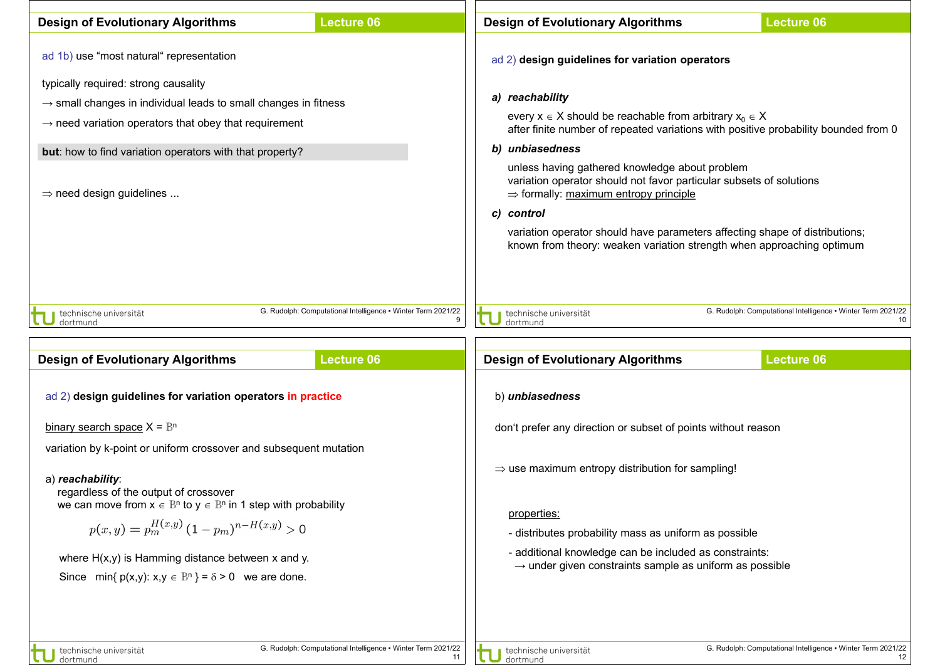| <b>Design of Evolutionary Algorithms</b>                                                                                                                                                                                                                                                                                                                                                    | <b>Lecture 06</b>                                                  | <b>Design of Evolutionary Algorithms</b>                                                                                                                                                                                                                                                                                                                                                                                                                                                                                                                                                           | <b>Lecture 06</b>                                                  |  |  |  |  |  |
|---------------------------------------------------------------------------------------------------------------------------------------------------------------------------------------------------------------------------------------------------------------------------------------------------------------------------------------------------------------------------------------------|--------------------------------------------------------------------|----------------------------------------------------------------------------------------------------------------------------------------------------------------------------------------------------------------------------------------------------------------------------------------------------------------------------------------------------------------------------------------------------------------------------------------------------------------------------------------------------------------------------------------------------------------------------------------------------|--------------------------------------------------------------------|--|--|--|--|--|
| ad 1b) use "most natural" representation<br>typically required: strong causality<br>$\rightarrow$ small changes in individual leads to small changes in fitness<br>$\rightarrow$ need variation operators that obey that requirement<br>but: how to find variation operators with that property?<br>$\Rightarrow$ need design guidelines                                                    |                                                                    | ad 2) design guidelines for variation operators<br>a) reachability<br>every $x \in X$ should be reachable from arbitrary $x_0 \in X$<br>after finite number of repeated variations with positive probability bounded from 0<br>b) unbiasedness<br>unless having gathered knowledge about problem<br>variation operator should not favor particular subsets of solutions<br>$\Rightarrow$ formally: maximum entropy principle<br>c) control<br>variation operator should have parameters affecting shape of distributions;<br>known from theory: weaken variation strength when approaching optimum |                                                                    |  |  |  |  |  |
| technische universität<br>dortmund                                                                                                                                                                                                                                                                                                                                                          | G. Rudolph: Computational Intelligence • Winter Term 2021/22<br>9  | G. Rudolph: Computational Intelligence • Winter Term 2021/22<br>technische universität<br>10<br>dortmund                                                                                                                                                                                                                                                                                                                                                                                                                                                                                           |                                                                    |  |  |  |  |  |
| <b>Design of Evolutionary Algorithms</b>                                                                                                                                                                                                                                                                                                                                                    | <b>Lecture 06</b>                                                  | <b>Design of Evolutionary Algorithms</b>                                                                                                                                                                                                                                                                                                                                                                                                                                                                                                                                                           | <b>Lecture 06</b>                                                  |  |  |  |  |  |
| ad 2) design guidelines for variation operators in practice                                                                                                                                                                                                                                                                                                                                 |                                                                    | b) unbiasedness                                                                                                                                                                                                                                                                                                                                                                                                                                                                                                                                                                                    |                                                                    |  |  |  |  |  |
| binary search space $X = B^n$                                                                                                                                                                                                                                                                                                                                                               |                                                                    | don't prefer any direction or subset of points without reason                                                                                                                                                                                                                                                                                                                                                                                                                                                                                                                                      |                                                                    |  |  |  |  |  |
| variation by k-point or uniform crossover and subsequent mutation<br>a) reachability:<br>regardless of the output of crossover<br>we can move from $x \in B^n$ to $y \in B^n$ in 1 step with probability<br>$p(x,y) = p_m^{H(x,y)} (1-p_m)^{n-H(x,y)} > 0$<br>where $H(x,y)$ is Hamming distance between $x$ and $y$ .<br>Since min{ $p(x,y)$ : $x,y \in B^n$ } = $\delta > 0$ we are done. |                                                                    | $\Rightarrow$ use maximum entropy distribution for sampling!<br>properties:<br>- distributes probability mass as uniform as possible<br>- additional knowledge can be included as constraints:<br>$\rightarrow$ under given constraints sample as uniform as possible                                                                                                                                                                                                                                                                                                                              |                                                                    |  |  |  |  |  |
| technische universität<br>dortmund                                                                                                                                                                                                                                                                                                                                                          | G. Rudolph: Computational Intelligence . Winter Term 2021/22<br>11 | technische universität<br>dortmund                                                                                                                                                                                                                                                                                                                                                                                                                                                                                                                                                                 | G. Rudolph: Computational Intelligence • Winter Term 2021/22<br>12 |  |  |  |  |  |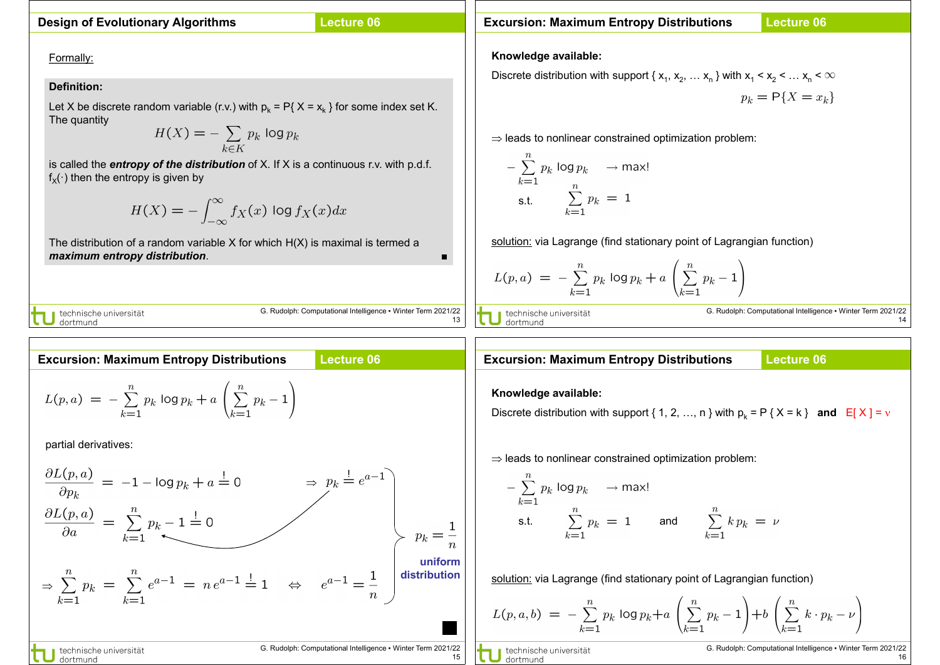### **Design of Evolutionary Algorithms**

## **Lecture 06**

Formally:

#### **Definition:**

Let X be discrete random variable (r.v.) with  $p_k = P\{ X = x_k \}$  for some index set K. The quantity

$$
H(X) = -\sum_{k \in K} p_k \log p_k
$$

is called the *entropy of the distribution* of X. If X is a continuous r.v. with p.d.f.  $f_X(\cdot)$  then the entropy is given by

$$
H(X) = -\int_{-\infty}^{\infty} f_X(x) \log f_X(x) dx
$$

The distribution of a random variable  $X$  for which  $H(X)$  is maximal is termed a *maximum entropy distribution*. ■

J technische universität<br>J dortmund

G. Rudolph: Computational Intelligence ▪ Winter Term 2021/22 13

# **Excursion: Maximum Entropy Distributions Lecture 06**  $L(p, a) = -\sum_{k=1}^{n} p_k \log p_k + a \left( \sum_{k=1}^{n} p_k - 1 \right)$

partial derivatives:

$$
\frac{\partial L(p, a)}{\partial p_k} = -1 - \log p_k + a = 0 \qquad \Rightarrow p_k = e^{a-1}
$$
\n
$$
\frac{\partial L(p, a)}{\partial a} = \sum_{k=1}^n p_k - 1 = 0
$$
\n
$$
\Rightarrow \sum_{k=1}^n p_k = \sum_{k=1}^n e^{a-1} = n e^{a-1} = 1 \qquad \Leftrightarrow \qquad e^{a-1} = \frac{1}{n}
$$
\n
$$
\text{uniform}
$$
\n
$$
\text{distribution}
$$
\n
$$
\text{distribution}
$$
\n
$$
\text{distribution}
$$
\n
$$
\text{distribution}
$$
\n
$$
\text{distribution}
$$
\n
$$
\text{distribution}
$$
\n
$$
\text{distribution}
$$
\n
$$
\text{distribution}
$$
\n
$$
\text{distribution}
$$
\n
$$
\text{distribution}
$$
\n
$$
\text{distribution}
$$
\n
$$
\text{distribution}
$$
\n
$$
\text{distribution}
$$
\n
$$
\text{distribution}
$$
\n
$$
\text{distribution}
$$
\n
$$
\text{distribution}
$$
\n
$$
\text{distribution}
$$
\n
$$
\text{distribution}
$$
\n
$$
\text{distribution}
$$
\n
$$
\text{distribution}
$$
\n
$$
\text{distribution}
$$
\n
$$
\text{distribution}
$$
\n
$$
\text{distribution}
$$
\n
$$
\text{distribution}
$$
\n
$$
\text{distribution}
$$
\n
$$
\text{distribution}
$$
\n
$$
\text{distribution}
$$
\n
$$
\text{distribution}
$$
\n
$$
\text{distribution}
$$
\n
$$
\text{distribution}
$$
\n
$$
\text{distribution}
$$
\n
$$
\text{distribution}
$$
\n
$$
\text{distribution}
$$
\n
$$
\text{distribution}
$$
\n
$$
\text{distribution}
$$
\n
$$
\text{distribution}
$$
\n
$$
\text{distribution}
$$
\n
$$
\text{distribution}
$$
\n
$$
\text{distribution}
$$
\n
$$
\text{distribution}
$$
\n
$$
\text{distribution}
$$
\n
$$
\text{distribution}
$$
\n

**Excursion: Maximum Entropy Distributions**

**Lecture 06**

**Knowledge available:**

Discrete distribution with support { $x_1, x_2, ... x_n$  } with  $x_1 < x_2 < ... x_n < \infty$ 

$$
p_k = \mathsf{P}\{X = x_k\}
$$

⇒ leads to nonlinear constrained optimization problem:

$$
-\sum_{k=1}^{n} p_k \log p_k \longrightarrow \max!
$$
  
s.t. 
$$
\sum_{k=1}^{n} p_k = 1
$$

solution: via Lagrange (find stationary point of Lagrangian function)

$$
L(p, a) = -\sum_{k=1}^{n} p_k \log p_k + a \left( \sum_{k=1}^{n} p_k - 1 \right)
$$

J technische universität<br>J dortmund

G. Rudolph: Computational Intelligence ▪ Winter Term 2021/22 14

#### **Excursion: Maximum Entropy Distributions**

**Lecture 06**

#### **Knowledge available:**

Discrete distribution with support { 1, 2, ..., n } with  $p_k = P$  {  $X = k$  } **and**  $E[X] = v$ 

⇒ leads to nonlinear constrained optimization problem:

$$
-\sum_{k=1}^{n} p_k \log p_k \longrightarrow \max!
$$
  
s.t. 
$$
\sum_{k=1}^{n} p_k = 1 \quad \text{and} \quad \sum_{k=1}^{n} k p_k = \nu
$$

solution: via Lagrange (find stationary point of Lagrangian function)

$$
L(p, a, b) = -\sum_{k=1}^{n} p_k \log p_k + a \left( \sum_{k=1}^{n} p_k - 1 \right) + b \left( \sum_{k=1}^{n} k \cdot p_k - \nu \right)
$$

technische universität dortmung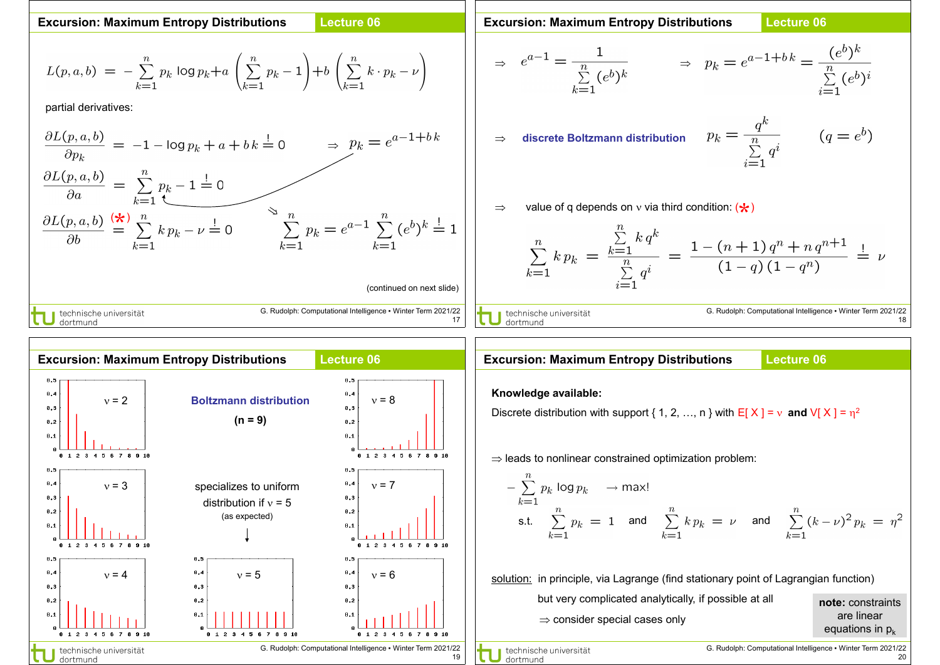**Excursion: Maximum Entropy Distributions**

 $\overset{(\bigstar)}{=}$ 

J technische universität<br>J dortmund

#### **Lecture 06**

G. Rudolph: Computational Intelligence ▪ Winter Term 2021/22

#### **Excursion: Maximum Entropy Distributions**

#### **Lecture 06**

$$
L(p, a, b) = -\sum_{k=1}^{n} p_k \log p_k + a \left( \sum_{k=1}^{n} p_k - 1 \right) + b \left( \sum_{k=1}^{n} k \cdot p_k - \nu \right)
$$
  
\npartial derivative:  
\n
$$
\frac{\partial L(p, a, b)}{\partial p_k} = -1 - \log p_k + a + b k \stackrel{!}{=} 0
$$
\n
$$
\Rightarrow p_k = e^{a-1+bk}
$$
\n
$$
\Rightarrow \text{discrete Boltzman}
$$

$$
\Rightarrow e^{a-1} = \frac{1}{\sum_{k=1}^{n} (e^b)^k} \qquad \Rightarrow p_k = e^{a-1+bk} = \frac{(e^b)^k}{\sum_{i=1}^{n} (e^b)^i}
$$

⇒ **discrete Boltzmann distribution**

$$
p_k = \frac{q^k}{\sum\limits_{i=1}^n q^i} \qquad (q = e^b)
$$

 $\Rightarrow$  value of q depends on  $\overline{v}$  via third condition:  $(\bigstar)$ 

$$
\sum_{i=1}^{n} k p_k = \frac{\sum_{k=1}^{n} k q^k}{\sum_{i=1}^{n} q^i} = \frac{1 - (n+1) q^n + n q^{n+1}}{(1-q) (1-q^n)} = \nu
$$

■ technische universität dortmund

17

(continued on next slide)

G. Rudolph: Computational Intelligence ▪ Winter Term 2021/22 18



#### **Lecture 06 Excursion: Maximum Entropy Distributions**

#### **Knowledge available:**

Discrete distribution with support { 1, 2, ..., n } with  $E[X] = v$  and  $V[X] = \eta^2$ 

⇒ leads to nonlinear constrained optimization problem:

$$
-\sum_{k=1}^{n} p_k \log p_k \longrightarrow \max!
$$
  
s.t. 
$$
\sum_{k=1}^{n} p_k = 1 \text{ and } \sum_{k=1}^{n} k p_k = \nu \text{ and } \sum_{k=1}^{n} (k - \nu)^2 p_k = \eta^2
$$

solution: in principle, via Lagrange (find stationary point of Lagrangian function)

| but very complicated analytically, if possible at all | note: constraints  |
|-------------------------------------------------------|--------------------|
| $\Rightarrow$ consider special cases only             | are linear         |
|                                                       | equations in $p_k$ |

technische universität dortmund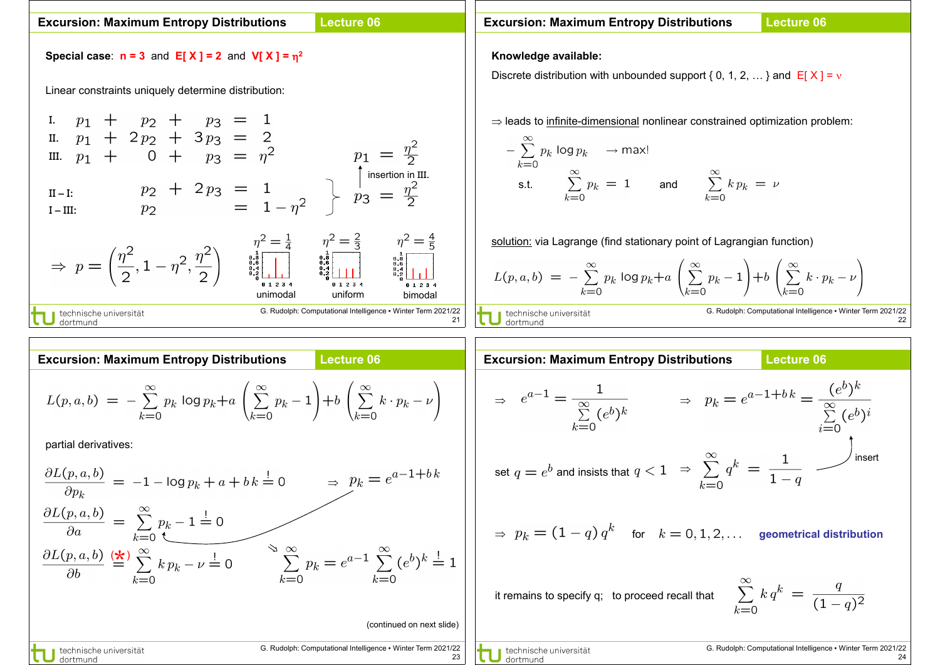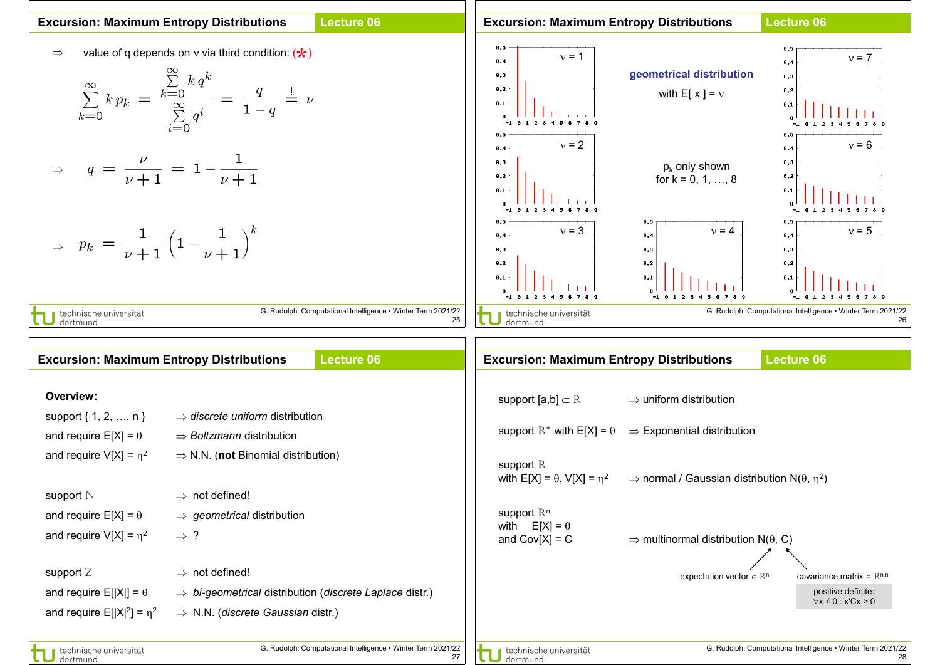